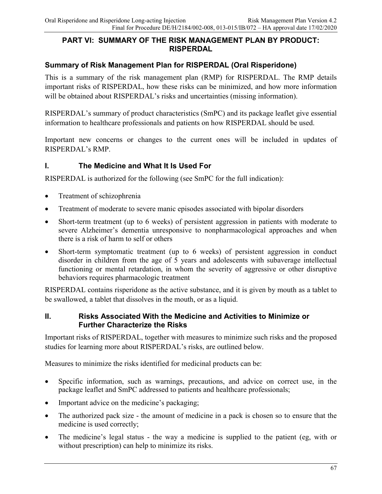### **PART VI: SUMMARY OF THE RISK MANAGEMENT PLAN BY PRODUCT: RISPERDAL**

## **Summary of Risk Management Plan for RISPERDAL (Oral Risperidone)**

This is a summary of the risk management plan (RMP) for RISPERDAL. The RMP details important risks of RISPERDAL, how these risks can be minimized, and how more information will be obtained about RISPERDAL's risks and uncertainties (missing information).

RISPERDAL's summary of product characteristics (SmPC) and its package leaflet give essential information to healthcare professionals and patients on how RISPERDAL should be used.

Important new concerns or changes to the current ones will be included in updates of RISPERDAL's RMP.

### **I. The Medicine and What It Is Used For**

RISPERDAL is authorized for the following (see SmPC for the full indication):

- Treatment of schizophrenia
- Treatment of moderate to severe manic episodes associated with bipolar disorders
- Short-term treatment (up to 6 weeks) of persistent aggression in patients with moderate to severe Alzheimer's dementia unresponsive to nonpharmacological approaches and when there is a risk of harm to self or others
- Short-term symptomatic treatment (up to 6 weeks) of persistent aggression in conduct disorder in children from the age of 5 years and adolescents with subaverage intellectual functioning or mental retardation, in whom the severity of aggressive or other disruptive behaviors requires pharmacologic treatment

RISPERDAL contains risperidone as the active substance, and it is given by mouth as a tablet to be swallowed, a tablet that dissolves in the mouth, or as a liquid.

#### **II. Risks Associated With the Medicine and Activities to Minimize or Further Characterize the Risks**

Important risks of RISPERDAL, together with measures to minimize such risks and the proposed studies for learning more about RISPERDAL's risks, are outlined below.

Measures to minimize the risks identified for medicinal products can be:

- Specific information, such as warnings, precautions, and advice on correct use, in the package leaflet and SmPC addressed to patients and healthcare professionals;
- Important advice on the medicine's packaging;
- The authorized pack size the amount of medicine in a pack is chosen so to ensure that the medicine is used correctly;
- The medicine's legal status the way a medicine is supplied to the patient (eg, with or without prescription) can help to minimize its risks.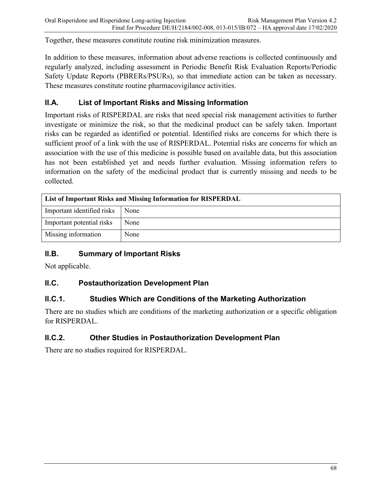Together, these measures constitute routine risk minimization measures.

In addition to these measures, information about adverse reactions is collected continuously and regularly analyzed, including assessment in Periodic Benefit Risk Evaluation Reports/Periodic Safety Update Reports (PBRERs/PSURs), so that immediate action can be taken as necessary. These measures constitute routine pharmacovigilance activities.

## **II.A. List of Important Risks and Missing Information**

Important risks of RISPERDAL are risks that need special risk management activities to further investigate or minimize the risk, so that the medicinal product can be safely taken. Important risks can be regarded as identified or potential. Identified risks are concerns for which there is sufficient proof of a link with the use of RISPERDAL. Potential risks are concerns for which an association with the use of this medicine is possible based on available data, but this association has not been established yet and needs further evaluation. Missing information refers to information on the safety of the medicinal product that is currently missing and needs to be collected.

| List of Important Risks and Missing Information for RISPERDAL |      |
|---------------------------------------------------------------|------|
| Important identified risks                                    | None |
| Important potential risks                                     | None |
| Missing information                                           | None |

## **II.B. Summary of Important Risks**

Not applicable.

## **II.C. Postauthorization Development Plan**

## **II.C.1. Studies Which are Conditions of the Marketing Authorization**

There are no studies which are conditions of the marketing authorization or a specific obligation for RISPERDAL.

## **II.C.2. Other Studies in Postauthorization Development Plan**

There are no studies required for RISPERDAL.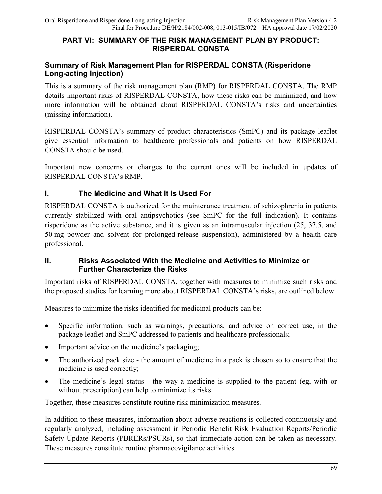#### **PART VI: SUMMARY OF THE RISK MANAGEMENT PLAN BY PRODUCT: RISPERDAL CONSTA**

### **Summary of Risk Management Plan for RISPERDAL CONSTA (Risperidone Long-acting Injection)**

This is a summary of the risk management plan (RMP) for RISPERDAL CONSTA. The RMP details important risks of RISPERDAL CONSTA, how these risks can be minimized, and how more information will be obtained about RISPERDAL CONSTA's risks and uncertainties (missing information).

RISPERDAL CONSTA's summary of product characteristics (SmPC) and its package leaflet give essential information to healthcare professionals and patients on how RISPERDAL CONSTA should be used.

Important new concerns or changes to the current ones will be included in updates of RISPERDAL CONSTA's RMP.

### **I. The Medicine and What It Is Used For**

RISPERDAL CONSTA is authorized for the maintenance treatment of schizophrenia in patients currently stabilized with oral antipsychotics (see SmPC for the full indication). It contains risperidone as the active substance, and it is given as an intramuscular injection (25, 37.5, and 50 mg powder and solvent for prolonged-release suspension), administered by a health care professional.

#### **II. Risks Associated With the Medicine and Activities to Minimize or Further Characterize the Risks**

Important risks of RISPERDAL CONSTA, together with measures to minimize such risks and the proposed studies for learning more about RISPERDAL CONSTA's risks, are outlined below.

Measures to minimize the risks identified for medicinal products can be:

- Specific information, such as warnings, precautions, and advice on correct use, in the package leaflet and SmPC addressed to patients and healthcare professionals;
- Important advice on the medicine's packaging;
- The authorized pack size the amount of medicine in a pack is chosen so to ensure that the medicine is used correctly;
- The medicine's legal status the way a medicine is supplied to the patient (eg, with or without prescription) can help to minimize its risks.

Together, these measures constitute routine risk minimization measures.

In addition to these measures, information about adverse reactions is collected continuously and regularly analyzed, including assessment in Periodic Benefit Risk Evaluation Reports/Periodic Safety Update Reports (PBRERs/PSURs), so that immediate action can be taken as necessary. These measures constitute routine pharmacovigilance activities.